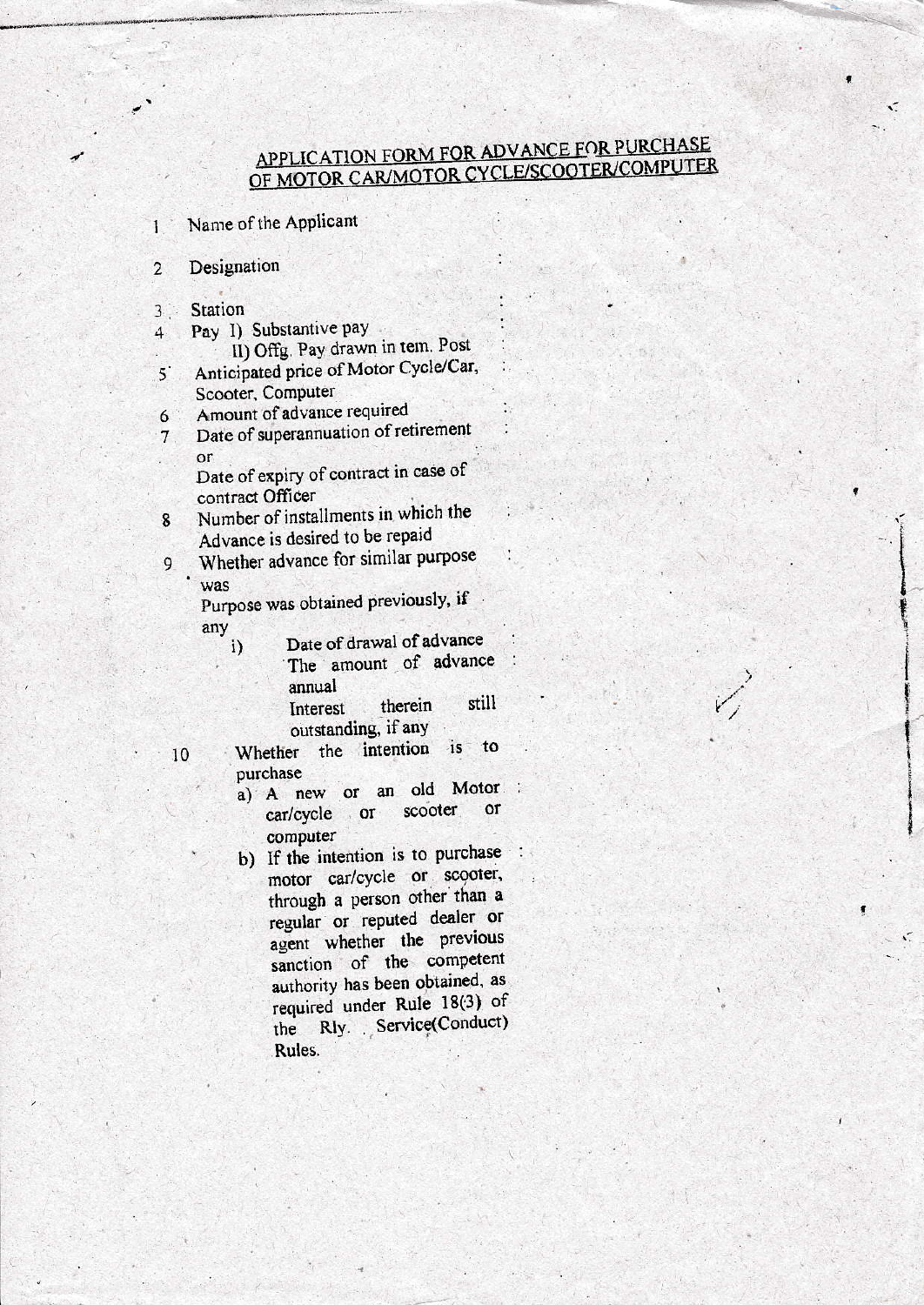## APPLICATION FORM FOR ADVANCE FOR PURCHASE OF MOTOR CAR/MOTOR CYCLE/SCOOTER/COMPUTER

۰Ć

Name of the Applicant

Designation  $\overline{2}$ 

 $\overline{\mathbf{3}}$ Station

 $\mathbf{1}$ 

Pay I) Substantive pay 4

- II) Offg. Pay drawn in tem. Post
- Anticipated price of Motor Cycle/Car,  $5^{\degree}$ Scooter, Computer
- Amount of advance required 6
- Date of superannuation of retirement  $7<sup>1</sup>$ or

Date of expiry of contract in case of contract Officer

- Number of installments in which the  $8\phantom{1}$ Advance is desired to be repaid
- Whether advance for similar purpose 9 was

Purpose was obtained previously, if any

- Date of drawal of advance i) The amount of advance annual
	- still therein Interest outstanding, if any
- Whether the intention to  $\mathbf{15}$ 10 purchase
	- a) A new or an old Motor or scooter car/cycle or computer
	- b) If the intention is to purchase motor car/cycle or scooter, through a person other than a regular or reputed dealer or agent whether the previous sanction of the competent authority has been obtained, as required under Rule 18(3) of the Rly. Service(Conduct) Rules.